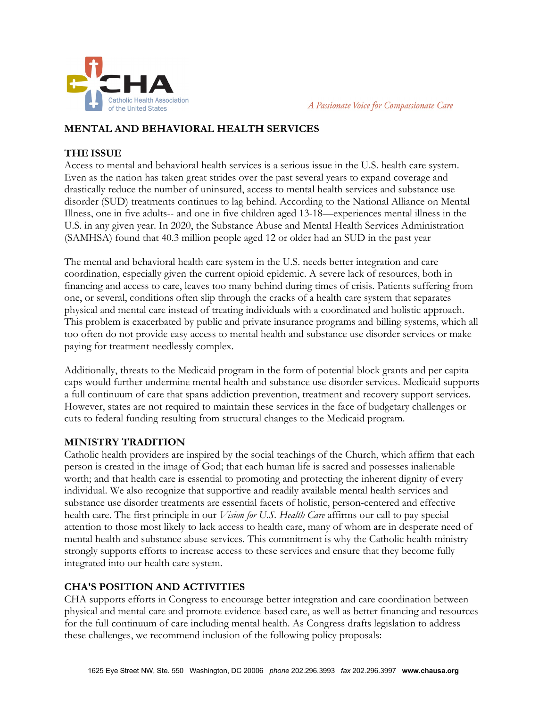

A Passionate Voice for Compassionate Care

### **MENTAL AND BEHAVIORAL HEALTH SERVICES**

### **THE ISSUE**

Access to mental and behavioral health services is a serious issue in the U.S. health care system. Even as the nation has taken great strides over the past several years to expand coverage and drastically reduce the number of uninsured, access to mental health services and substance use disorder (SUD) treatments continues to lag behind. According to the National Alliance on Mental Illness, one in five adults-- and one in five children aged 13-18—experiences mental illness in the U.S. in any given year. In 2020, the Substance Abuse and Mental Health Services Administration (SAMHSA) found that 40.3 million people aged 12 or older had an SUD in the past year

The mental and behavioral health care system in the U.S. needs better integration and care coordination, especially given the current opioid epidemic. A severe lack of resources, both in financing and access to care, leaves too many behind during times of crisis. Patients suffering from one, or several, conditions often slip through the cracks of a health care system that separates physical and mental care instead of treating individuals with a coordinated and holistic approach. This problem is exacerbated by public and private insurance programs and billing systems, which all too often do not provide easy access to mental health and substance use disorder services or make paying for treatment needlessly complex.

Additionally, threats to the Medicaid program in the form of potential block grants and per capita caps would further undermine mental health and substance use disorder services. Medicaid supports a full continuum of care that spans addiction prevention, treatment and recovery support services. However, states are not required to maintain these services in the face of budgetary challenges or cuts to federal funding resulting from structural changes to the Medicaid program.

# **MINISTRY TRADITION**

Catholic health providers are inspired by the social teachings of the Church, which affirm that each person is created in the image of God; that each human life is sacred and possesses inalienable worth; and that health care is essential to promoting and protecting the inherent dignity of every individual. We also recognize that supportive and readily available mental health services and substance use disorder treatments are essential facets of holistic, person-centered and effective health care. The first principle in our *Vision for U.S. Health Care* affirms our call to pay special attention to those most likely to lack access to health care, many of whom are in desperate need of mental health and substance abuse services. This commitment is why the Catholic health ministry strongly supports efforts to increase access to these services and ensure that they become fully integrated into our health care system.

# **CHA'S POSITION AND ACTIVITIES**

CHA supports efforts in Congress to encourage better integration and care coordination between physical and mental care and promote evidence-based care, as well as better financing and resources for the full continuum of care including mental health. As Congress drafts legislation to address these challenges, we recommend inclusion of the following policy proposals: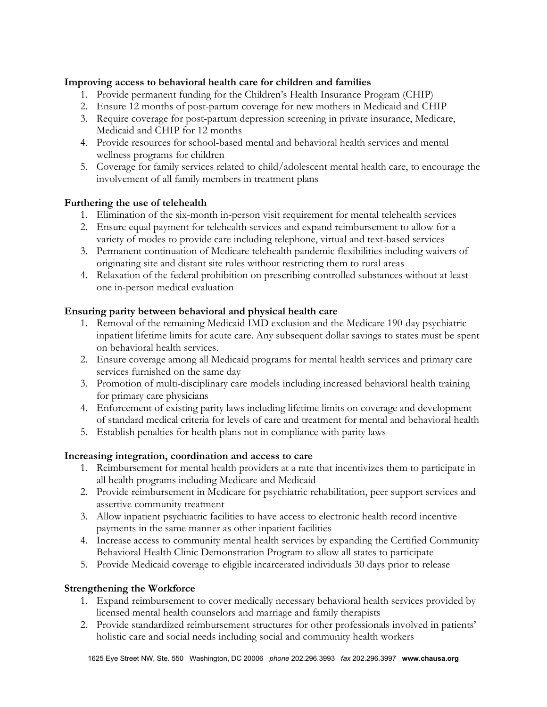#### **Improving access to behavioral health care for children and families**

- 1. Provide permanent funding for the Children's Health Insurance Program (CHIP)
- 2. Ensure 12 months of post-partum coverage for new mothers in Medicaid and CHIP
- 3. Require coverage for post-partum depression screening in private insurance, Medicare, Medicaid and CHIP for 12 months
- 4. Provide resources for school-based mental and behavioral health services and mental wellness programs for children
- 5. Coverage for family services related to child/adolescent mental health care, to encourage the involvement of all family members in treatment plans

### **Furthering the use of telehealth**

- 1. Elimination of the six-month in-person visit requirement for mental telehealth services
- 2. Ensure equal payment for telehealth services and expand reimbursement to allow for a variety of modes to provide care including telephone, virtual and text-based services
- 3. Permanent continuation of Medicare telehealth pandemic flexibilities including waivers of originating site and distant site rules without restricting them to rural areas
- 4. Relaxation of the federal prohibition on prescribing controlled substances without at least one in-person medical evaluation

# **Ensuring parity between behavioral and physical health care**

- 1. Removal of the remaining Medicaid IMD exclusion and the Medicare 190-day psychiatric inpatient lifetime limits for acute care. Any subsequent dollar savings to states must be spent on behavioral health services.
- 2. Ensure coverage among all Medicaid programs for mental health services and primary care services furnished on the same day
- 3. Promotion of multi-disciplinary care models including increased behavioral health training for primary care physicians
- 4. Enforcement of existing parity laws including lifetime limits on coverage and development of standard medical criteria for levels of care and treatment for mental and behavioral health
- 5. Establish penalties for health plans not in compliance with parity laws

# **Increasing integration, coordination and access to care**

- 1. Reimbursement for mental health providers at a rate that incentivizes them to participate in all health programs including Medicare and Medicaid
- 2. Provide reimbursement in Medicare for psychiatric rehabilitation, peer support services and assertive community treatment
- 3. Allow inpatient psychiatric facilities to have access to electronic health record incentive payments in the same manner as other inpatient facilities
- 4. Increase access to community mental health services by expanding the Certified Community Behavioral Health Clinic Demonstration Program to allow all states to participate
- 5. Provide Medicaid coverage to eligible incarcerated individuals 30 days prior to release

# **Strengthening the Workforce**

- 1. Expand reimbursement to cover medically necessary behavioral health services provided by licensed mental health counselors and marriage and family therapists
- 2. Provide standardized reimbursement structures for other professionals involved in patients' holistic care and social needs including social and community health workers